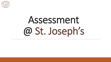

# Assessment @ St. Joseph's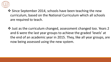

- ❖ Since September 2014, schools have been teaching the new curriculum, based on the National Curriculum which all schools are required to teach.
- ❖ Just as the curriculum changed, assessment changed too. Years 2 and 6 were the last year groups to achieve the graded 'levels' at the end of an academic year in 2015. They, like all year groups, are now being assessed using the new system.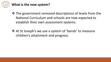

#### **What is the new system?**

- ❖ The government removed descriptions of levels from the National Curriculum and schools are now expected to establish their own assessment systems.
- ❖ At St Joseph's we use a system of 'bands' to measure children's attainment and progress.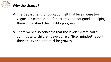

### **Why the change?**

- ❖ The Department for Education felt that levels were too vague and complicated for parents and not good at helping them understand their child's progress
- ❖ There were also concerns that the levels system could contribute to children developing a "fixed mindset" about their ability and potential for growth.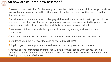

#### **So how are children now assessed?**

❖ We teach the curriculum for the year group that the child is in. If your child is not yet ready to access that curriculum, they will continue to work on the curriculum for the year group that they can access.

**<sup>❖</sup>** As the new curriculum is more challenging, children who are secure in their age band do not move on to the objectives for the next year group. Instead, they are expected to gain a more rounded knowledge of the curriculum and study objectives in 'greater depth'.

❖We assess children constantly through our observations, marking and feedback and discussions.

- ❖Formal assessments occur each half term and these inform the teachers' judgements.
- ❖Children's attainment is recorded each half term through SIMS
- ❖Pupil Progress meetings take place each term so that progress can be monitored

❖At your parent consultation evening, you will be informed about whether your child is 'working towards', 'working at' or 'working above' the expectations for their age band within Reading, Writing and Mathematics.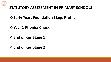

#### **STATUTORY ASSESSMENT IN PRIMARY SCHOOLS**

## ❖**Early Years Foundation Stage Profile**

### ❖**Year 1 Phonics Check**

- ❖**End of Key Stage 1**
- ❖**End of Key Stage 2**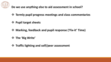

#### **Do we use anything else to aid assessment in school?**

- ❖ **Termly pupil progress meetings and class commentaries**
- ❖ **Pupil target sheets**
- ❖ **Marking, feedback and pupil response ('Fix-it' Time)**
- ❖ **The 'Big Write'**
- ❖ **Traffic lighting and self/peer assessment**